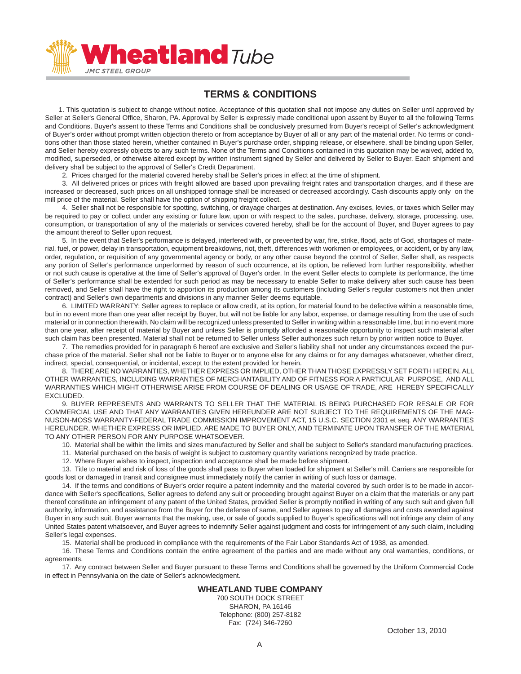

## **TERMS & CONDITIONS**

 1. This quotation is subject to change without notice. Acceptance of this quotation shall not impose any duties on Seller until approved by Seller at Seller's General Office, Sharon, PA. Approval by Seller is expressly made conditional upon assent by Buyer to all the following Terms and Conditions. Buyer's assent to these Terms and Conditions shall be conclusively presumed from Buyer's receipt of Seller's acknowledgment of Buyer's order without prompt written objection thereto or from acceptance by Buyer of all or any part of the material order. No terms or conditions other than those stated herein, whether contained in Buyer's purchase order, shipping release, or elsewhere, shall be binding upon Seller, and Seller hereby expressly objects to any such terms. None of the Terms and Conditions contained in this quotation may be waived, added to, modified, superseded, or otherwise altered except by written instrument signed by Seller and delivered by Seller to Buyer. Each shipment and delivery shall be subject to the approval of Seller's Credit Department.

2. Prices charged for the material covered hereby shall be Seller's prices in effect at the time of shipment.

 3. All delivered prices or prices with freight allowed are based upon prevailing freight rates and transportation charges, and if these are increased or decreased, such prices on all unshipped tonnage shall be increased or decreased accordingly. Cash discounts apply only on the mill price of the material. Seller shall have the option of shipping freight collect.

 4. Seller shall not be responsible for spotting, switching, or drayage charges at destination. Any excises, levies, or taxes which Seller may be required to pay or collect under any existing or future law, upon or with respect to the sales, purchase, delivery, storage, processing, use, consumption, or transportation of any of the materials or services covered hereby, shall be for the account of Buyer, and Buyer agrees to pay the amount thereof to Seller upon request.

5. In the event that Seller's performance is delayed, interfered with, or prevented by war, fire, strike, flood, acts of God, shortages of material, fuel, or power, delay in transportation, equipment breakdowns, riot, theft, differences with workmen or employees, or accident, or by any law, order, regulation, or requisition of any governmental agency or body, or any other cause beyond the control of Seller, Seller shall, as respects any portion of Seller's performance unperformed by reason of such occurrence, at its option, be relieved from further responsibility, whether or not such cause is operative at the time of Seller's approval of Buyer's order. In the event Seller elects to complete its performance, the time of Seller's performance shall be extended for such period as may be necessary to enable Seller to make delivery after such cause has been removed, and Seller shall have the right to apportion its production among its customers (including Seller's regular customers not then under contract) and Seller's own departments and divisions in any manner Seller deems equitable.

 6. LIMITED WARRANTY: Seller agrees to replace or allow credit, at its option, for material found to be defective within a reasonable time, but in no event more than one year after receipt by Buyer, but will not be liable for any labor, expense, or damage resulting from the use of such material or in connection therewith. No claim will be recognized unless presented to Seller in writing within a reasonable time, but in no event more than one year, after receipt of material by Buyer and unless Seller is promptly afforded a reasonable opportunity to inspect such material after such claim has been presented. Material shall not be returned to Seller unless Seller authorizes such return by prior written notice to Buyer.

 7. The remedies provided for in paragraph 6 hereof are exclusive and Seller's liability shall not under any circumstances exceed the purchase price of the material. Seller shall not be liable to Buyer or to anyone else for any claims or for any damages whatsoever, whether direct, indirect, special, consequential, or incidental, except to the extent provided for herein.

 8. THERE ARE NO WARRANTIES, WHETHER EXPRESS OR IMPLIED, OTHER THAN THOSE EXPRESSLY SET FORTH HEREIN. ALL OTHER WARRANTIES, INCLUDING WARRANTIES OF MERCHANTABILITY AND OF FITNESS FOR A PARTICULAR PURPOSE, AND ALL WARRANTIES WHICH MIGHT OTHERWISE ARISE FROM COURSE OF DEALING OR USAGE OF TRADE, ARE HEREBY SPECIFICALLY EXCLUDED.

 9. BUYER REPRESENTS AND WARRANTS TO SELLER THAT THE MATERIAL IS BEING PURCHASED FOR RESALE OR FOR COMMERCIAL USE AND THAT ANY WARRANTIES GIVEN HEREUNDER ARE NOT SUBJECT TO THE REQUIREMENTS OF THE MAG-NUSON-MOSS WARRANTY-FEDERAL TRADE COMMISSION IMPROVEMENT ACT, 15 U.S.C. SECTION 2301 et seq. ANY WARRANTIES HEREUNDER, WHETHER EXPRESS OR IMPLIED, ARE MADE TO BUYER ONLY, AND TERMINATE UPON TRANSFER OF THE MATERIAL TO ANY OTHER PERSON FOR ANY PURPOSE WHATSOEVER.

10. Material shall be within the limits and sizes manufactured by Seller and shall be subject to Seller's standard manufacturing practices.

- 11. Material purchased on the basis of weight is subject to customary quantity variations recognized by trade practice.
- 12. Where Buyer wishes to inspect, inspection and acceptance shall be made before shipment.

 13. Title to material and risk of loss of the goods shall pass to Buyer when loaded for shipment at Seller's mill. Carriers are responsible for goods lost or damaged in transit and consignee must immediately notify the carrier in writing of such loss or damage.

 14. If the terms and conditions of Buyer's order require a patent indemnity and the material covered by such order is to be made in accordance with Seller's specifications, Seller agrees to defend any suit or proceeding brought against Buyer on a claim that the materials or any part thereof constitute an infringement of any patent of the United States, provided Seller is promptly notified in writing of any such suit and given full authority, information, and assistance from the Buyer for the defense of same, and Seller agrees to pay all damages and costs awarded against Buyer in any such suit. Buyer warrants that the making, use, or sale of goods supplied to Buyer's specifications will not infringe any claim of any United States patent whatsoever, and Buyer agrees to indemnify Seller against judgment and costs for infringement of any such claim, including Seller's legal expenses.

15. Material shall be produced in compliance with the requirements of the Fair Labor Standards Act of 1938, as amended.

 16. These Terms and Conditions contain the entire agreement of the parties and are made without any oral warranties, conditions, or agreements.

 17. Any contract between Seller and Buyer pursuant to these Terms and Conditions shall be governed by the Uniform Commercial Code in effect in Pennsylvania on the date of Seller's acknowledgment.

## **WHEATLAND TUBE COMPANY**

700 SOUTH DOCK STREET SHARON, PA 16146 Telephone: (800) 257-8182 Fax: (724) 346-7260